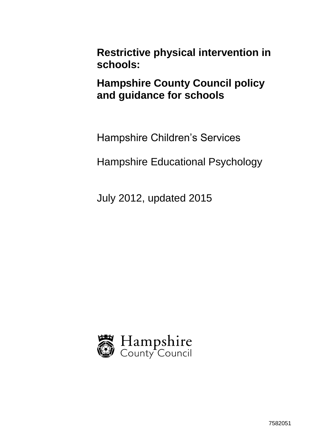**Restrictive physical intervention in schools:**

**Hampshire County Council policy and guidance for schools**

Hampshire Children's Services

Hampshire Educational Psychology

July 2012, updated 2015

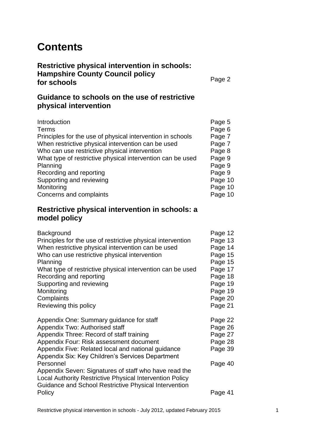# **Contents**

**Restrictive physical intervention in schools: Hampshire County Council policy for schools**

Page 2

## **Guidance to schools on the use of restrictive physical intervention**

| Introduction                                               | Page 5  |
|------------------------------------------------------------|---------|
| Terms                                                      | Page 6  |
| Principles for the use of physical intervention in schools | Page 7  |
| When restrictive physical intervention can be used         | Page 7  |
| Who can use restrictive physical intervention              | Page 8  |
| What type of restrictive physical intervention can be used | Page 9  |
| Planning                                                   | Page 9  |
| Recording and reporting                                    | Page 9  |
| Supporting and reviewing                                   | Page 10 |
| Monitoring                                                 | Page 10 |
| Concerns and complaints                                    | Page 10 |

### **Restrictive physical intervention in schools: a model policy**

| Page 12 |
|---------|
| Page 13 |
| Page 14 |
| Page 15 |
| Page 15 |
| Page 17 |
| Page 18 |
| Page 19 |
| Page 19 |
| Page 20 |
| Page 21 |
|         |
| Page 22 |
| Page 26 |
| Page 27 |
| Page 28 |
| Page 39 |
|         |
| Page 40 |
|         |
|         |
|         |
| Page 41 |
|         |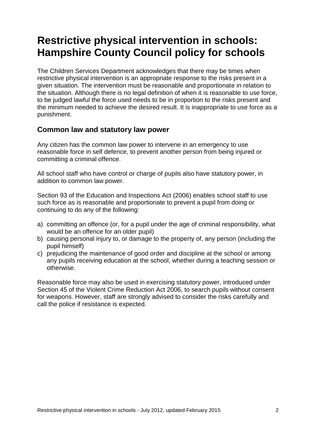# **Restrictive physical intervention in schools: Hampshire County Council policy for schools**

The Children Services Department acknowledges that there may be times when restrictive physical intervention is an appropriate response to the risks present in a given situation. The intervention must be reasonable and proportionate in relation to the situation. Although there is no legal definition of when it is reasonable to use force, to be judged lawful the force used needs to be in proportion to the risks present and the minimum needed to achieve the desired result. It is inappropriate to use force as a punishment.

### **Common law and statutory law power**

Any citizen has the common law power to intervene in an emergency to use reasonable force in self defence, to prevent another person from being injured or committing a criminal offence.

All school staff who have control or charge of pupils also have statutory power, in addition to common law power.

Section 93 of the Education and Inspections Act (2006) enables school staff to use such force as is reasonable and proportionate to prevent a pupil from doing or continuing to do any of the following:

- a) committing an offence (or, for a pupil under the age of criminal responsibility, what would be an offence for an older pupil)
- b) causing personal injury to, or damage to the property of, any person (including the pupil himself)
- c) prejudicing the maintenance of good order and discipline at the school or among any pupils receiving education at the school, whether during a teaching session or otherwise.

Reasonable force may also be used in exercising statutory power, introduced under Section 45 of the Violent Crime Reduction Act 2006, to search pupils without consent for weapons. However, staff are strongly advised to consider the risks carefully and call the police if resistance is expected.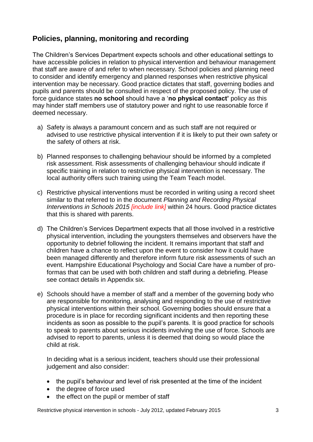## **Policies, planning, monitoring and recording**

The Children's Services Department expects schools and other educational settings to have accessible policies in relation to physical intervention and behaviour management that staff are aware of and refer to when necessary. School policies and planning need to consider and identify emergency and planned responses when restrictive physical intervention may be necessary. Good practice dictates that staff, governing bodies and pupils and parents should be consulted in respect of the proposed policy. The use of force guidance states **no school** should have a '**no physical contact'** policy as this may hinder staff members use of statutory power and right to use reasonable force if deemed necessary.

- a) Safety is always a paramount concern and as such staff are not required or advised to use restrictive physical intervention if it is likely to put their own safety or the safety of others at risk.
- b) Planned responses to challenging behaviour should be informed by a completed risk assessment. Risk assessments of challenging behaviour should indicate if specific training in relation to restrictive physical intervention is necessary. The local authority offers such training using the Team Teach model.
- c) Restrictive physical interventions must be recorded in writing using a record sheet similar to that referred to in the document *Planning and Recording Physical Interventions in Schools 2015 [include link]* within 24 hours. Good practice dictates that this is shared with parents.
- d) The Children's Services Department expects that all those involved in a restrictive physical intervention, including the youngsters themselves and observers have the opportunity to debrief following the incident. It remains important that staff and children have a chance to reflect upon the event to consider how it could have been managed differently and therefore inform future risk assessments of such an event. Hampshire Educational Psychology and Social Care have a number of proformas that can be used with both children and staff during a debriefing. Please see contact details in Appendix six.
- e) Schools should have a member of staff and a member of the governing body who are responsible for monitoring, analysing and responding to the use of restrictive physical interventions within their school. Governing bodies should ensure that a procedure is in place for recording significant incidents and then reporting these incidents as soon as possible to the pupil's parents. It is good practice for schools to speak to parents about serious incidents involving the use of force. Schools are advised to report to parents, unless it is deemed that doing so would place the child at risk.

In deciding what is a serious incident, teachers should use their professional judgement and also consider:

- the pupil's behaviour and level of risk presented at the time of the incident
- the degree of force used
- the effect on the pupil or member of staff

Restrictive physical intervention in schools - July 2012, updated February 2015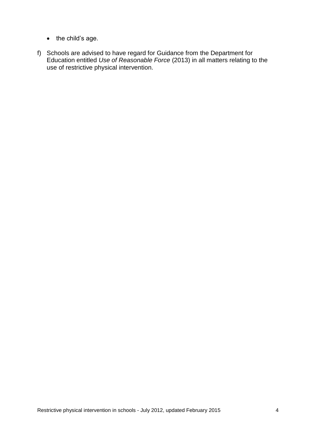- the child's age.
- f) Schools are advised to have regard for Guidance from the Department for Education entitled *Use of Reasonable Force* (2013) in all matters relating to the use of restrictive physical intervention.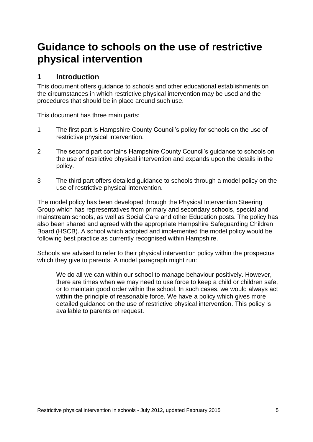# **Guidance to schools on the use of restrictive physical intervention**

## **1 Introduction**

This document offers guidance to schools and other educational establishments on the circumstances in which restrictive physical intervention may be used and the procedures that should be in place around such use.

This document has three main parts:

- 1 The first part is Hampshire County Council's policy for schools on the use of restrictive physical intervention.
- 2 The second part contains Hampshire County Council's guidance to schools on the use of restrictive physical intervention and expands upon the details in the policy.
- 3 The third part offers detailed guidance to schools through a model policy on the use of restrictive physical intervention.

The model policy has been developed through the Physical Intervention Steering Group which has representatives from primary and secondary schools, special and mainstream schools, as well as Social Care and other Education posts. The policy has also been shared and agreed with the appropriate Hampshire Safeguarding Children Board (HSCB). A school which adopted and implemented the model policy would be following best practice as currently recognised within Hampshire.

Schools are advised to refer to their physical intervention policy within the prospectus which they give to parents. A model paragraph might run:

We do all we can within our school to manage behaviour positively. However, there are times when we may need to use force to keep a child or children safe, or to maintain good order within the school. In such cases, we would always act within the principle of reasonable force. We have a policy which gives more detailed guidance on the use of restrictive physical intervention. This policy is available to parents on request.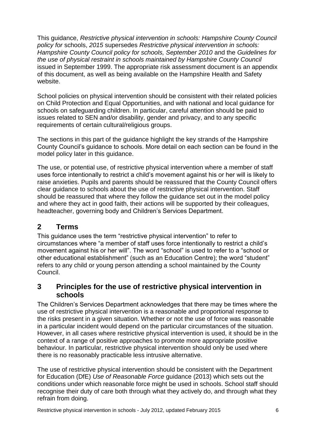This guidance, *Restrictive physical intervention in schools: Hampshire County Council policy for* schools, *2015* supersedes *Restrictive physical intervention in schools: Hampshire County Council policy for schools, September 2010* and the *Guidelines for the use of physical restraint in schools maintained by Hampshire County Council*  issued in September 1999. The appropriate risk assessment document is an appendix of this document, as well as being available on the Hampshire Health and Safety website.

School policies on physical intervention should be consistent with their related policies on Child Protection and Equal Opportunities, and with national and local guidance for schools on safeguarding children. In particular, careful attention should be paid to issues related to SEN and/or disability, gender and privacy, and to any specific requirements of certain cultural/religious groups.

The sections in this part of the guidance highlight the key strands of the Hampshire County Council's guidance to schools. More detail on each section can be found in the model policy later in this guidance.

The use, or potential use, of restrictive physical intervention where a member of staff uses force intentionally to restrict a child's movement against his or her will is likely to raise anxieties. Pupils and parents should be reassured that the County Council offers clear guidance to schools about the use of restrictive physical intervention. Staff should be reassured that where they follow the guidance set out in the model policy and where they act in good faith, their actions will be supported by their colleagues, headteacher, governing body and Children's Services Department.

## **2 Terms**

This guidance uses the term "restrictive physical intervention" to refer to circumstances where "a member of staff uses force intentionally to restrict a child's movement against his or her will". The word "school" is used to refer to a "school or other educational establishment" (such as an Education Centre); the word "student" refers to any child or young person attending a school maintained by the County Council.

## **3 Principles for the use of restrictive physical intervention in schools**

The Children's Services Department acknowledges that there may be times where the use of restrictive physical intervention is a reasonable and proportional response to the risks present in a given situation. Whether or not the use of force was reasonable in a particular incident would depend on the particular circumstances of the situation. However, in all cases where restrictive physical intervention is used, it should be in the context of a range of positive approaches to promote more appropriate positive behaviour. In particular, restrictive physical intervention should only be used where there is no reasonably practicable less intrusive alternative.

The use of restrictive physical intervention should be consistent with the Department for Education (DfE) *Use of Reasonable Force* guidance (2013) which sets out the conditions under which reasonable force might be used in schools. School staff should recognise their duty of care both through what they actively do, and through what they refrain from doing.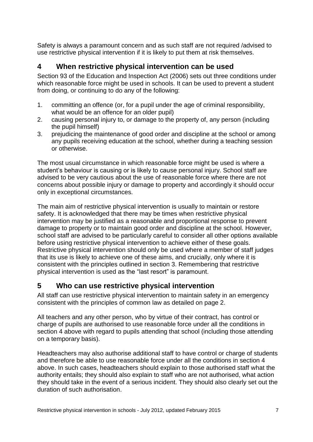Safety is always a paramount concern and as such staff are not required /advised to use restrictive physical intervention if it is likely to put them at risk themselves.

## **4 When restrictive physical intervention can be used**

Section 93 of the Education and Inspection Act (2006) sets out three conditions under which reasonable force might be used in schools. It can be used to prevent a student from doing, or continuing to do any of the following:

- 1. committing an offence (or, for a pupil under the age of criminal responsibility, what would be an offence for an older pupil)
- 2. causing personal injury to, or damage to the property of, any person (including the pupil himself)
- 3. prejudicing the maintenance of good order and discipline at the school or among any pupils receiving education at the school, whether during a teaching session or otherwise.

The most usual circumstance in which reasonable force might be used is where a student's behaviour is causing or is likely to cause personal injury. School staff are advised to be very cautious about the use of reasonable force where there are not concerns about possible injury or damage to property and accordingly it should occur only in exceptional circumstances.

The main aim of restrictive physical intervention is usually to maintain or restore safety. It is acknowledged that there may be times when restrictive physical intervention may be justified as a reasonable and proportional response to prevent damage to property or to maintain good order and discipline at the school. However, school staff are advised to be particularly careful to consider all other options available before using restrictive physical intervention to achieve either of these goals. Restrictive physical intervention should only be used where a member of staff judges that its use is likely to achieve one of these aims, and crucially, only where it is consistent with the principles outlined in section 3. Remembering that restrictive physical intervention is used as the "last resort" is paramount.

## **5 Who can use restrictive physical intervention**

All staff can use restrictive physical intervention to maintain safety in an emergency consistent with the principles of common law as detailed on page 2.

All teachers and any other person, who by virtue of their contract, has control or charge of pupils are authorised to use reasonable force under all the conditions in section 4 above with regard to pupils attending that school (including those attending on a temporary basis).

Headteachers may also authorise additional staff to have control or charge of students and therefore be able to use reasonable force under all the conditions in section 4 above. In such cases, headteachers should explain to those authorised staff what the authority entails; they should also explain to staff who are not authorised, what action they should take in the event of a serious incident. They should also clearly set out the duration of such authorisation.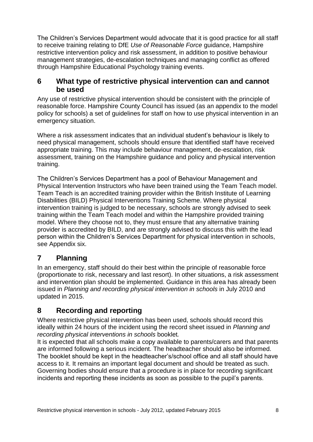The Children's Services Department would advocate that it is good practice for all staff to receive training relating to DfE *Use of Reasonable Force* guidance, Hampshire restrictive intervention policy and risk assessment, in addition to positive behaviour management strategies, de-escalation techniques and managing conflict as offered through Hampshire Educational Psychology training events.

### **6 What type of restrictive physical intervention can and cannot be used**

Any use of restrictive physical intervention should be consistent with the principle of reasonable force. Hampshire County Council has issued (as an appendix to the model policy for schools) a set of guidelines for staff on how to use physical intervention in an emergency situation.

Where a risk assessment indicates that an individual student's behaviour is likely to need physical management, schools should ensure that identified staff have received appropriate training. This may include behaviour management, de-escalation, risk assessment, training on the Hampshire guidance and policy and physical intervention training.

The Children's Services Department has a pool of Behaviour Management and Physical Intervention Instructors who have been trained using the Team Teach model. Team Teach is an accredited training provider within the British Institute of Learning Disabilities (BILD) Physical Interventions Training Scheme. Where physical intervention training is judged to be necessary, schools are strongly advised to seek training within the Team Teach model and within the Hampshire provided training model. Where they choose not to, they must ensure that any alternative training provider is accredited by BILD, and are strongly advised to discuss this with the lead person within the Children's Services Department for physical intervention in schools, see Appendix six.

## **7 Planning**

In an emergency, staff should do their best within the principle of reasonable force (proportionate to risk, necessary and last resort). In other situations, a risk assessment and intervention plan should be implemented. Guidance in this area has already been issued in *Planning and recording physical intervention in schools* in July 2010 and updated in 2015.

## **8 Recording and reporting**

Where restrictive physical intervention has been used, schools should record this ideally within 24 hours of the incident using the record sheet issued in *Planning and recording physical interventions in schools* booklet*.*

It is expected that all schools make a copy available to parents/carers and that parents are informed following a serious incident. The headteacher should also be informed. The booklet should be kept in the headteacher's/school office and all staff should have access to it. It remains an important legal document and should be treated as such. Governing bodies should ensure that a procedure is in place for recording significant incidents and reporting these incidents as soon as possible to the pupil's parents.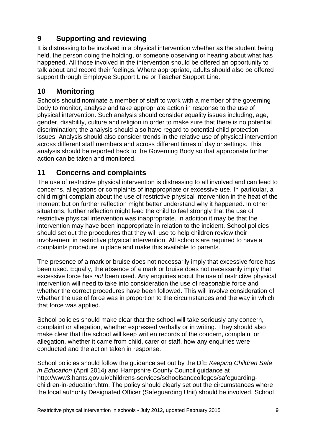## **9 Supporting and reviewing**

It is distressing to be involved in a physical intervention whether as the student being held, the person doing the holding, or someone observing or hearing about what has happened. All those involved in the intervention should be offered an opportunity to talk about and record their feelings. Where appropriate, adults should also be offered support through Employee Support Line or Teacher Support Line.

## **10 Monitoring**

Schools should nominate a member of staff to work with a member of the governing body to monitor, analyse and take appropriate action in response to the use of physical intervention. Such analysis should consider equality issues including, age, gender, disability, culture and religion in order to make sure that there is no potential discrimination; the analysis should also have regard to potential child protection issues. Analysis should also consider trends in the relative use of physical intervention across different staff members and across different times of day or settings. This analysis should be reported back to the Governing Body so that appropriate further action can be taken and monitored.

## **11 Concerns and complaints**

The use of restrictive physical intervention is distressing to all involved and can lead to concerns, allegations or complaints of inappropriate or excessive use. In particular, a child might complain about the use of restrictive physical intervention in the heat of the moment but on further reflection might better understand why it happened. In other situations, further reflection might lead the child to feel strongly that the use of restrictive physical intervention was inappropriate. In addition it may be that the intervention may have been inappropriate in relation to the incident. School policies should set out the procedures that they will use to help children review their involvement in restrictive physical intervention. All schools are required to have a complaints procedure in place and make this available to parents.

The presence of a mark or bruise does not necessarily imply that excessive force has been used. Equally, the absence of a mark or bruise does not necessarily imply that excessive force has *not* been used. Any enquiries about the use of restrictive physical intervention will need to take into consideration the use of reasonable force and whether the correct procedures have been followed. This will involve consideration of whether the use of force was in proportion to the circumstances and the way in which that force was applied.

School policies should make clear that the school will take seriously any concern, complaint or allegation, whether expressed verbally or in writing. They should also make clear that the school will keep written records of the concern, complaint or allegation, whether it came from child, carer or staff, how any enquiries were conducted and the action taken in response.

School policies should follow the guidance set out by the DfE *Keeping Children Safe in Education* (April 2014) and Hampshire County Council guidance at http://www3.hants.gov.uk/childrens-services/schoolsandcolleges/safeguardingchildren-in-education.htm. The policy should clearly set out the circumstances where the local authority Designated Officer (Safeguarding Unit) should be involved. School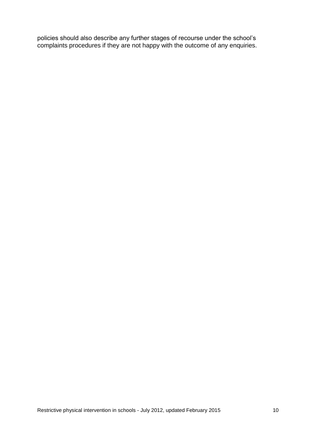policies should also describe any further stages of recourse under the school's complaints procedures if they are not happy with the outcome of any enquiries.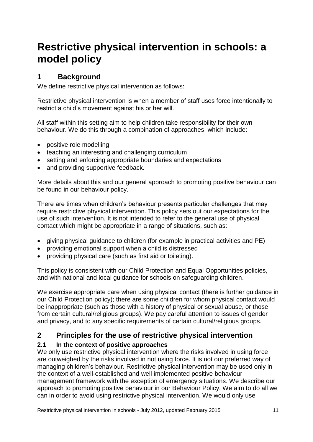# **Restrictive physical intervention in schools: a model policy**

## **1 Background**

We define restrictive physical intervention as follows:

Restrictive physical intervention is when a member of staff uses force intentionally to restrict a child's movement against his or her will.

All staff within this setting aim to help children take responsibility for their own behaviour. We do this through a combination of approaches, which include:

- positive role modelling
- teaching an interesting and challenging curriculum
- setting and enforcing appropriate boundaries and expectations
- and providing supportive feedback.

More details about this and our general approach to promoting positive behaviour can be found in our behaviour policy.

There are times when children's behaviour presents particular challenges that may require restrictive physical intervention. This policy sets out our expectations for the use of such intervention. It is not intended to refer to the general use of physical contact which might be appropriate in a range of situations, such as:

- giving physical guidance to children (for example in practical activities and PE)
- providing emotional support when a child is distressed
- providing physical care (such as first aid or toileting).

This policy is consistent with our Child Protection and Equal Opportunities policies, and with national and local guidance for schools on safeguarding children.

We exercise appropriate care when using physical contact (there is further guidance in our Child Protection policy); there are some children for whom physical contact would be inappropriate (such as those with a history of physical or sexual abuse, or those from certain cultural/religious groups). We pay careful attention to issues of gender and privacy, and to any specific requirements of certain cultural/religious groups.

## **2 Principles for the use of restrictive physical intervention**

### **2.1 In the context of positive approaches**

We only use restrictive physical intervention where the risks involved in using force are outweighed by the risks involved in not using force. It is not our preferred way of managing children's behaviour. Restrictive physical intervention may be used only in the context of a well-established and well implemented positive behaviour management framework with the exception of emergency situations. We describe our approach to promoting positive behaviour in our Behaviour Policy. We aim to do all we can in order to avoid using restrictive physical intervention. We would only use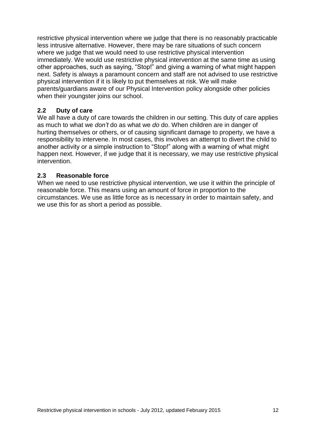restrictive physical intervention where we judge that there is no reasonably practicable less intrusive alternative. However, there may be rare situations of such concern where we judge that we would need to use restrictive physical intervention immediately. We would use restrictive physical intervention at the same time as using other approaches, such as saying, "Stop!" and giving a warning of what might happen next. Safety is always a paramount concern and staff are not advised to use restrictive physical intervention if it is likely to put themselves at risk. We will make parents/guardians aware of our Physical Intervention policy alongside other policies when their youngster joins our school.

### **2.2 Duty of care**

We all have a duty of care towards the children in our setting. This duty of care applies as much to what we *don't* do as what we *do* do. When children are in danger of hurting themselves or others, or of causing significant damage to property, we have a responsibility to intervene. In most cases, this involves an attempt to divert the child to another activity or a simple instruction to "Stop!" along with a warning of what might happen next. However, if we judge that it is necessary, we may use restrictive physical intervention.

#### **2.3 Reasonable force**

When we need to use restrictive physical intervention, we use it within the principle of reasonable force. This means using an amount of force in proportion to the circumstances. We use as little force as is necessary in order to maintain safety, and we use this for as short a period as possible.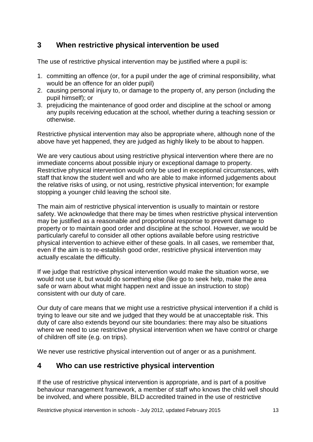## **3 When restrictive physical intervention be used**

The use of restrictive physical intervention may be justified where a pupil is:

- 1. committing an offence (or, for a pupil under the age of criminal responsibility, what would be an offence for an older pupil)
- 2. causing personal injury to, or damage to the property of, any person (including the pupil himself); or
- 3. prejudicing the maintenance of good order and discipline at the school or among any pupils receiving education at the school, whether during a teaching session or otherwise.

Restrictive physical intervention may also be appropriate where, although none of the above have yet happened, they are judged as highly likely to be about to happen.

We are very cautious about using restrictive physical intervention where there are no immediate concerns about possible injury or exceptional damage to property. Restrictive physical intervention would only be used in exceptional circumstances, with staff that know the student well and who are able to make informed judgements about the relative risks of using, or not using, restrictive physical intervention; for example stopping a younger child leaving the school site.

The main aim of restrictive physical intervention is usually to maintain or restore safety. We acknowledge that there may be times when restrictive physical intervention may be justified as a reasonable and proportional response to prevent damage to property or to maintain good order and discipline at the school. However, we would be particularly careful to consider all other options available before using restrictive physical intervention to achieve either of these goals. In all cases, we remember that, even if the aim is to re-establish good order, restrictive physical intervention may actually escalate the difficulty.

If we judge that restrictive physical intervention would make the situation worse, we would not use it, but would do something else (like go to seek help, make the area safe or warn about what might happen next and issue an instruction to stop) consistent with our duty of care.

Our duty of care means that we might use a restrictive physical intervention if a child is trying to leave our site and we judged that they would be at unacceptable risk. This duty of care also extends beyond our site boundaries: there may also be situations where we need to use restrictive physical intervention when we have control or charge of children off site (e.g. on trips).

We never use restrictive physical intervention out of anger or as a punishment.

## **4 Who can use restrictive physical intervention**

If the use of restrictive physical intervention is appropriate, and is part of a positive behaviour management framework, a member of staff who knows the child well should be involved, and where possible, BILD accredited trained in the use of restrictive

Restrictive physical intervention in schools - July 2012, updated February 2015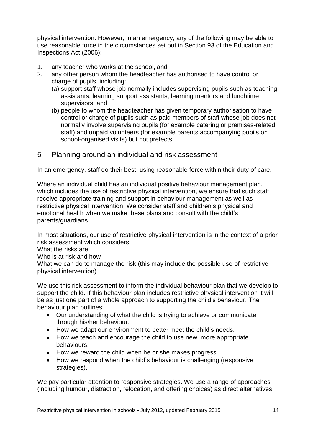physical intervention. However, in an emergency, any of the following may be able to use reasonable force in the circumstances set out in Section 93 of the Education and Inspections Act (2006):

- 1. any teacher who works at the school, and
- 2. any other person whom the headteacher has authorised to have control or charge of pupils, including:
	- (a) support staff whose job normally includes supervising pupils such as teaching assistants, learning support assistants, learning mentors and lunchtime supervisors; and
	- (b) people to whom the headteacher has given temporary authorisation to have control or charge of pupils such as paid members of staff whose job does not normally involve supervising pupils (for example catering or premises-related staff) and unpaid volunteers (for example parents accompanying pupils on school-organised visits) but not prefects.
- 5 Planning around an individual and risk assessment

In an emergency, staff do their best, using reasonable force within their duty of care.

Where an individual child has an individual positive behaviour management plan, which includes the use of restrictive physical intervention, we ensure that such staff receive appropriate training and support in behaviour management as well as restrictive physical intervention. We consider staff and children's physical and emotional health when we make these plans and consult with the child's parents/guardians.

In most situations, our use of restrictive physical intervention is in the context of a prior risk assessment which considers:

What the risks are

Who is at risk and how

What we can do to manage the risk (this may include the possible use of restrictive physical intervention)

We use this risk assessment to inform the individual behaviour plan that we develop to support the child. If this behaviour plan includes restrictive physical intervention it will be as just one part of a whole approach to supporting the child's behaviour. The behaviour plan outlines:

- Our understanding of what the child is trying to achieve or communicate through his/her behaviour.
- How we adapt our environment to better meet the child's needs.
- How we teach and encourage the child to use new, more appropriate behaviours.
- How we reward the child when he or she makes progress.
- How we respond when the child's behaviour is challenging (responsive strategies).

We pay particular attention to responsive strategies. We use a range of approaches (including humour, distraction, relocation, and offering choices) as direct alternatives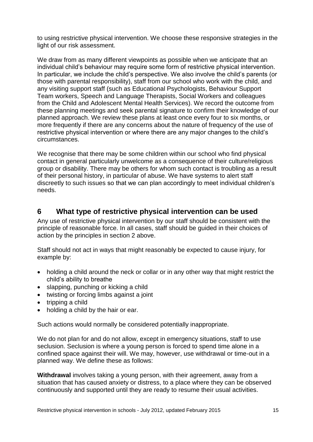to using restrictive physical intervention. We choose these responsive strategies in the light of our risk assessment.

We draw from as many different viewpoints as possible when we anticipate that an individual child's behaviour may require some form of restrictive physical intervention. In particular, we include the child's perspective. We also involve the child's parents (or those with parental responsibility), staff from our school who work with the child, and any visiting support staff (such as Educational Psychologists, Behaviour Support Team workers, Speech and Language Therapists, Social Workers and colleagues from the Child and Adolescent Mental Health Services). We record the outcome from these planning meetings and seek parental signature to confirm their knowledge of our planned approach. We review these plans at least once every four to six months, or more frequently if there are any concerns about the nature of frequency of the use of restrictive physical intervention or where there are any major changes to the child's circumstances.

We recognise that there may be some children within our school who find physical contact in general particularly unwelcome as a consequence of their culture/religious group or disability. There may be others for whom such contact is troubling as a result of their personal history, in particular of abuse. We have systems to alert staff discreetly to such issues so that we can plan accordingly to meet individual children's needs.

### **6 What type of restrictive physical intervention can be used**

Any use of restrictive physical intervention by our staff should be consistent with the principle of reasonable force. In all cases, staff should be guided in their choices of action by the principles in section 2 above.

Staff should not act in ways that might reasonably be expected to cause injury, for example by:

- holding a child around the neck or collar or in any other way that might restrict the child's ability to breathe
- slapping, punching or kicking a child
- twisting or forcing limbs against a joint
- $\bullet$  tripping a child
- holding a child by the hair or ear.

Such actions would normally be considered potentially inappropriate.

We do not plan for and do not allow, except in emergency situations, staff to use seclusion. Seclusion is where a young person is forced to spend time alone in a confined space against their will. We may, however, use withdrawal or time-out in a planned way. We define these as follows:

**Withdrawal** involves taking a young person, with their agreement, away from a situation that has caused anxiety or distress, to a place where they can be observed continuously and supported until they are ready to resume their usual activities.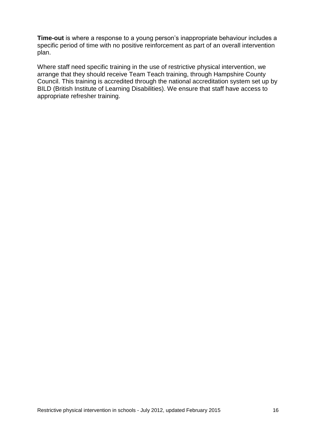**Time-out** is where a response to a young person's inappropriate behaviour includes a specific period of time with no positive reinforcement as part of an overall intervention plan.

Where staff need specific training in the use of restrictive physical intervention, we arrange that they should receive Team Teach training, through Hampshire County Council. This training is accredited through the national accreditation system set up by BILD (British Institute of Learning Disabilities). We ensure that staff have access to appropriate refresher training.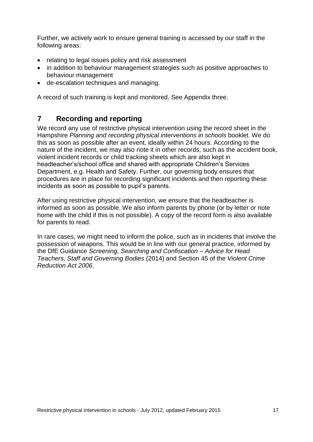Further, we actively work to ensure general training is accessed by our staff in the following areas:

- relating to legal issues policy and risk assessment
- in addition to behaviour management strategies such as positive approaches to behaviour management
- de-escalation techniques and managing.

A record of such training is kept and monitored. See Appendix three.

## **7 Recording and reporting**

We record any use of restrictive physical intervention using the record sheet in the Hampshire *Planning and recording physical interventions in schools* booklet. We do this as soon as possible after an event, ideally within 24 hours. According to the nature of the incident, we may also note it in other records, such as the accident book, violent incident records or child tracking sheets which are also kept in headteacher's/school office and shared with appropriate Children's Services Department, e.g. Health and Safety. Further, our governing body ensures that procedures are in place for recording significant incidents and then reporting these incidents as soon as possible to pupil's parents.

After using restrictive physical intervention, we ensure that the headteacher is informed as soon as possible. We also inform parents by phone (or by letter or note home with the child if this is not possible). A copy of the record form is also available for parents to read.

In rare cases, we might need to inform the police, such as in incidents that involve the possession of weapons. This would be in line with our general practice, informed by the DfE Guidance *Screening, Searching and Confiscation – Advice for Head Teachers, Staff and Governing Bodies* (2014) and Section 45 of the *Violent Crime Reduction Act 2006*.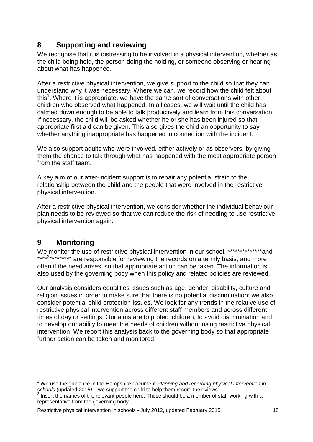## **8 Supporting and reviewing**

We recognise that it is distressing to be involved in a physical intervention, whether as the child being held, the person doing the holding, or someone observing or hearing about what has happened.

After a restrictive physical intervention, we give support to the child so that they can understand why it was necessary. Where we can, we record how the child felt about this<sup>1</sup>. Where it is appropriate, we have the same sort of conversations with other children who observed what happened. In all cases, we will wait until the child has calmed down enough to be able to talk productively and learn from this conversation. If necessary, the child will be asked whether he or she has been injured so that appropriate first aid can be given. This also gives the child an opportunity to say whether anything inappropriate has happened in connection with the incident.

We also support adults who were involved, either actively or as observers, by giving them the chance to talk through what has happened with the most appropriate person from the staff team.

A key aim of our after-incident support is to repair any potential strain to the relationship between the child and the people that were involved in the restrictive physical intervention.

After a restrictive physical intervention, we consider whether the individual behaviour plan needs to be reviewed so that we can reduce the risk of needing to use restrictive physical intervention again.

## **9 Monitoring**

 $\overline{a}$ 

We monitor the use of restrictive physical intervention in our school. \*\*\*\*\*\*\*\*\*\*\*\*\*\*\*and \*\*\*\*<sup>2\*\*\*\*\*\*\*\*\*</sup> are responsible for reviewing the records on a termly basis, and more often if the need arises, so that appropriate action can be taken. The information is also used by the governing body when this policy and related policies are reviewed.

Our analysis considers equalities issues such as age, gender, disability, culture and religion issues in order to make sure that there is no potential discrimination; we also consider potential child protection issues. We look for any trends in the relative use of restrictive physical intervention across different staff members and across different times of day or settings. Our aims are to protect children, to avoid discrimination and to develop our ability to meet the needs of children without using restrictive physical intervention. We report this analysis back to the governing body so that appropriate further action can be taken and monitored.

<sup>1</sup> We use the guidance in the Hampshire document *Planning and recording physical intervention in*  schools (updated 2015) – we support the child to help them record their views.

<sup>2</sup> Insert the names of the relevant people here. These should be a member of staff working with a representative from the governing body.

Restrictive physical intervention in schools - July 2012, updated February 2015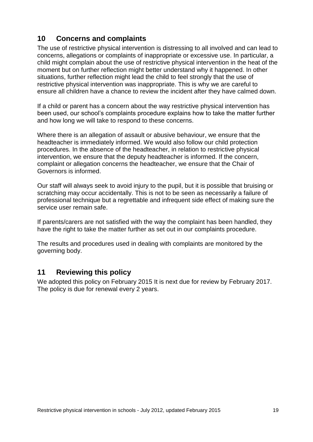## **10 Concerns and complaints**

The use of restrictive physical intervention is distressing to all involved and can lead to concerns, allegations or complaints of inappropriate or excessive use. In particular, a child might complain about the use of restrictive physical intervention in the heat of the moment but on further reflection might better understand why it happened. In other situations, further reflection might lead the child to feel strongly that the use of restrictive physical intervention was inappropriate. This is why we are careful to ensure all children have a chance to review the incident after they have calmed down.

If a child or parent has a concern about the way restrictive physical intervention has been used, our school's complaints procedure explains how to take the matter further and how long we will take to respond to these concerns.

Where there is an allegation of assault or abusive behaviour, we ensure that the headteacher is immediately informed. We would also follow our child protection procedures. In the absence of the headteacher, in relation to restrictive physical intervention, we ensure that the deputy headteacher is informed. If the concern, complaint or allegation concerns the headteacher, we ensure that the Chair of Governors is informed.

Our staff will always seek to avoid injury to the pupil, but it is possible that bruising or scratching may occur accidentally. This is not to be seen as necessarily a failure of professional technique but a regrettable and infrequent side effect of making sure the service user remain safe.

If parents/carers are not satisfied with the way the complaint has been handled, they have the right to take the matter further as set out in our complaints procedure.

The results and procedures used in dealing with complaints are monitored by the governing body.

### **11 Reviewing this policy**

We adopted this policy on February 2015 It is next due for review by February 2017. The policy is due for renewal every 2 years.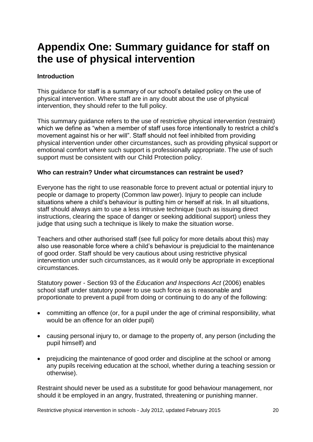# **Appendix One: Summary guidance for staff on the use of physical intervention**

#### **Introduction**

This guidance for staff is a summary of our school's detailed policy on the use of physical intervention. Where staff are in any doubt about the use of physical intervention, they should refer to the full policy.

This summary guidance refers to the use of restrictive physical intervention (restraint) which we define as "when a member of staff uses force intentionally to restrict a child's movement against his or her will". Staff should not feel inhibited from providing physical intervention under other circumstances, such as providing physical support or emotional comfort where such support is professionally appropriate. The use of such support must be consistent with our Child Protection policy.

#### **Who can restrain? Under what circumstances can restraint be used?**

Everyone has the right to use reasonable force to prevent actual or potential injury to people or damage to property (Common law power). Injury to people can include situations where a child's behaviour is putting him or herself at risk. In all situations, staff should always aim to use a less intrusive technique (such as issuing direct instructions, clearing the space of danger or seeking additional support) unless they judge that using such a technique is likely to make the situation worse.

Teachers and other authorised staff (see full policy for more details about this) may also use reasonable force where a child's behaviour is prejudicial to the maintenance of good order. Staff should be very cautious about using restrictive physical intervention under such circumstances, as it would only be appropriate in exceptional circumstances.

Statutory power - Section 93 of the *Education and Inspections Act* (2006) enables school staff under statutory power to use such force as is reasonable and proportionate to prevent a pupil from doing or continuing to do any of the following:

- committing an offence (or, for a pupil under the age of criminal responsibility, what would be an offence for an older pupil)
- causing personal injury to, or damage to the property of, any person (including the pupil himself) and
- prejudicing the maintenance of good order and discipline at the school or among any pupils receiving education at the school, whether during a teaching session or otherwise).

Restraint should never be used as a substitute for good behaviour management, nor should it be employed in an angry, frustrated, threatening or punishing manner.

Restrictive physical intervention in schools - July 2012, updated February 2015 20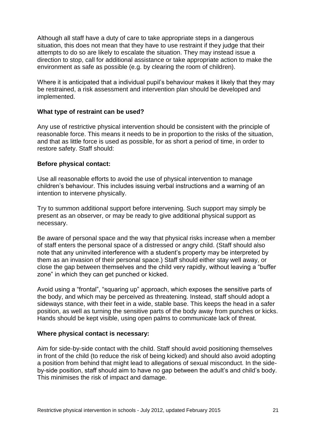Although all staff have a duty of care to take appropriate steps in a dangerous situation, this does not mean that they have to use restraint if they judge that their attempts to do so are likely to escalate the situation. They may instead issue a direction to stop, call for additional assistance or take appropriate action to make the environment as safe as possible (e.g. by clearing the room of children).

Where it is anticipated that a individual pupil's behaviour makes it likely that they may be restrained, a risk assessment and intervention plan should be developed and implemented.

#### **What type of restraint can be used?**

Any use of restrictive physical intervention should be consistent with the principle of reasonable force. This means it needs to be in proportion to the risks of the situation, and that as little force is used as possible, for as short a period of time, in order to restore safety. Staff should:

#### **Before physical contact:**

Use all reasonable efforts to avoid the use of physical intervention to manage children's behaviour. This includes issuing verbal instructions and a warning of an intention to intervene physically.

Try to summon additional support before intervening. Such support may simply be present as an observer, or may be ready to give additional physical support as necessary.

Be aware of personal space and the way that physical risks increase when a member of staff enters the personal space of a distressed or angry child. (Staff should also note that any uninvited interference with a student's property may be interpreted by them as an invasion of their personal space.) Staff should either stay well away, or close the gap between themselves and the child very rapidly, without leaving a "buffer zone" in which they can get punched or kicked.

Avoid using a "frontal", "squaring up" approach, which exposes the sensitive parts of the body, and which may be perceived as threatening. Instead, staff should adopt a sideways stance, with their feet in a wide, stable base. This keeps the head in a safer position, as well as turning the sensitive parts of the body away from punches or kicks. Hands should be kept visible, using open palms to communicate lack of threat.

#### **Where physical contact is necessary:**

Aim for side-by-side contact with the child. Staff should avoid positioning themselves in front of the child (to reduce the risk of being kicked) and should also avoid adopting a position from behind that might lead to allegations of sexual misconduct. In the sideby-side position, staff should aim to have no gap between the adult's and child's body. This minimises the risk of impact and damage.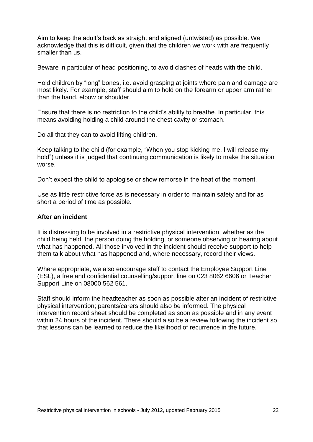Aim to keep the adult's back as straight and aligned (untwisted) as possible. We acknowledge that this is difficult, given that the children we work with are frequently smaller than us.

Beware in particular of head positioning, to avoid clashes of heads with the child.

Hold children by "long" bones, i.e. avoid grasping at joints where pain and damage are most likely. For example, staff should aim to hold on the forearm or upper arm rather than the hand, elbow or shoulder.

Ensure that there is no restriction to the child's ability to breathe. In particular, this means avoiding holding a child around the chest cavity or stomach.

Do all that they can to avoid lifting children.

Keep talking to the child (for example, "When you stop kicking me, I will release my hold") unless it is judged that continuing communication is likely to make the situation worse.

Don't expect the child to apologise or show remorse in the heat of the moment.

Use as little restrictive force as is necessary in order to maintain safety and for as short a period of time as possible.

#### **After an incident**

It is distressing to be involved in a restrictive physical intervention, whether as the child being held, the person doing the holding, or someone observing or hearing about what has happened. All those involved in the incident should receive support to help them talk about what has happened and, where necessary, record their views.

Where appropriate, we also encourage staff to contact the Employee Support Line (ESL), a free and confidential counselling/support line on 023 8062 6606 or Teacher Support Line on 08000 562 561.

Staff should inform the headteacher as soon as possible after an incident of restrictive physical intervention; parents/carers should also be informed. The physical intervention record sheet should be completed as soon as possible and in any event within 24 hours of the incident. There should also be a review following the incident so that lessons can be learned to reduce the likelihood of recurrence in the future.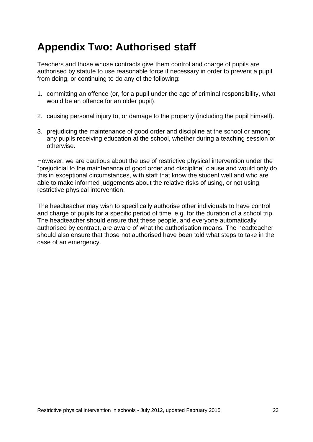# **Appendix Two: Authorised staff**

Teachers and those whose contracts give them control and charge of pupils are authorised by statute to use reasonable force if necessary in order to prevent a pupil from doing, or continuing to do any of the following:

- 1. committing an offence (or, for a pupil under the age of criminal responsibility, what would be an offence for an older pupil).
- 2. causing personal injury to, or damage to the property (including the pupil himself).
- 3. prejudicing the maintenance of good order and discipline at the school or among any pupils receiving education at the school, whether during a teaching session or otherwise.

However, we are cautious about the use of restrictive physical intervention under the "prejudicial to the maintenance of good order and discipline" clause and would only do this in exceptional circumstances, with staff that know the student well and who are able to make informed judgements about the relative risks of using, or not using, restrictive physical intervention.

The headteacher may wish to specifically authorise other individuals to have control and charge of pupils for a specific period of time, e.g. for the duration of a school trip. The headteacher should ensure that these people, and everyone automatically authorised by contract, are aware of what the authorisation means. The headteacher should also ensure that those not authorised have been told what steps to take in the case of an emergency.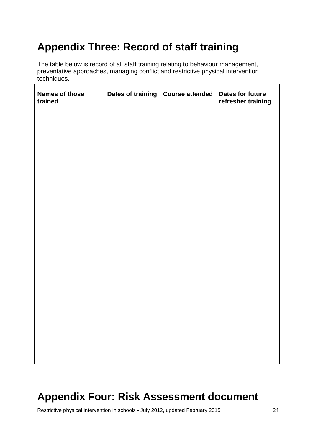# **Appendix Three: Record of staff training**

The table below is record of all staff training relating to behaviour management, preventative approaches, managing conflict and restrictive physical intervention techniques.

| <b>Names of those</b><br>trained | Dates of training   Course attended | <b>Dates for future</b><br>refresher training |
|----------------------------------|-------------------------------------|-----------------------------------------------|
|                                  |                                     |                                               |
|                                  |                                     |                                               |
|                                  |                                     |                                               |
|                                  |                                     |                                               |
|                                  |                                     |                                               |
|                                  |                                     |                                               |
|                                  |                                     |                                               |
|                                  |                                     |                                               |
|                                  |                                     |                                               |
|                                  |                                     |                                               |
|                                  |                                     |                                               |
|                                  |                                     |                                               |

# **Appendix Four: Risk Assessment document**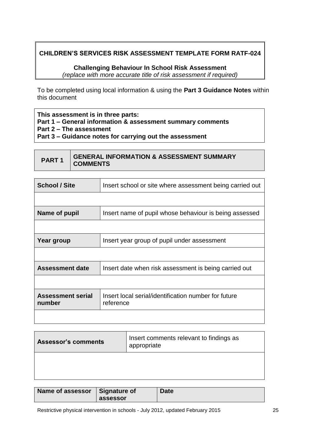### **CHILDREN'S SERVICES RISK ASSESSMENT TEMPLATE FORM RATF-024**

**Challenging Behaviour In School Risk Assessment** *(replace with more accurate title of risk assessment if required)*

To be completed using local information & using the **Part 3 Guidance Notes** within this document

**This assessment is in three parts: Part 1 – General information & assessment summary comments Part 2 – The assessment Part 3 – Guidance notes for carrying out the assessment**

**PART 1 GENERAL INFORMATION & ASSESSMENT SUMMARY COMMENTS**

| <b>School / Site</b>               | Insert school or site where assessment being carried out          |
|------------------------------------|-------------------------------------------------------------------|
|                                    |                                                                   |
| Name of pupil                      | Insert name of pupil whose behaviour is being assessed            |
|                                    |                                                                   |
| Year group                         | Insert year group of pupil under assessment                       |
|                                    |                                                                   |
| <b>Assessment date</b>             | Insert date when risk assessment is being carried out             |
|                                    |                                                                   |
| <b>Assessment serial</b><br>number | Insert local serial/identification number for future<br>reference |
|                                    |                                                                   |

| <b>Assessor's comments</b> | Insert comments relevant to findings as<br>appropriate |
|----------------------------|--------------------------------------------------------|
|                            |                                                        |

| Name of assessor   Signature of | assessor | <b>Date</b> |
|---------------------------------|----------|-------------|
|---------------------------------|----------|-------------|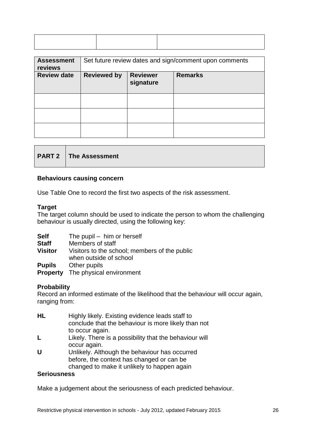| <b>Assessment</b><br>reviews | Set future review dates and sign/comment upon comments               |  |  |  |  |
|------------------------------|----------------------------------------------------------------------|--|--|--|--|
| <b>Review date</b>           | <b>Reviewer</b><br><b>Remarks</b><br><b>Reviewed by</b><br>signature |  |  |  |  |
|                              |                                                                      |  |  |  |  |
|                              |                                                                      |  |  |  |  |
|                              |                                                                      |  |  |  |  |

|  | <b>PART 2</b>   The Assessment |
|--|--------------------------------|
|--|--------------------------------|

#### **Behaviours causing concern**

Use Table One to record the first two aspects of the risk assessment.

#### **Target**

The target column should be used to indicate the person to whom the challenging behaviour is usually directed, using the following key:

| <b>Self</b>  | The pupil – him or herself                                              |
|--------------|-------------------------------------------------------------------------|
| <b>Staff</b> | Members of staff                                                        |
| Visitor      | Visitors to the school; members of the public<br>when outside of school |
|              |                                                                         |

**Pupils** Other pupils

**Property** The physical environment

#### **Probability**

Record an informed estimate of the likelihood that the behaviour will occur again, ranging from:

- **HL** Highly likely. Existing evidence leads staff to conclude that the behaviour is more likely than not to occur again.
- **L** Likely. There is a possibility that the behaviour will occur again.
- **U** Unlikely. Although the behaviour has occurred before, the context has changed or can be changed to make it unlikely to happen again

#### **Seriousness**

Make a judgement about the seriousness of each predicted behaviour.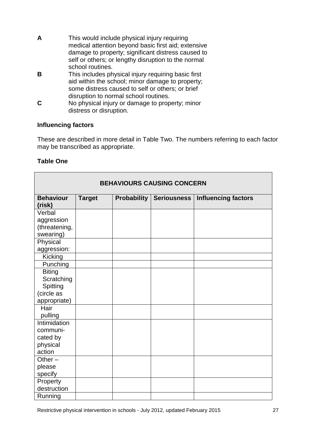- **A** This would include physical injury requiring medical attention beyond basic first aid; extensive damage to property; significant distress caused to self or others; or lengthy disruption to the normal school routines.
- **B** This includes physical injury requiring basic first aid within the school; minor damage to property; some distress caused to self or others; or brief disruption to normal school routines.
- **C** No physical injury or damage to property; minor distress or disruption.

#### **Influencing factors**

These are described in more detail in Table Two. The numbers referring to each factor may be transcribed as appropriate.

#### **Table One**

| <b>BEHAVIOURS CAUSING CONCERN</b> |               |                    |                    |                            |
|-----------------------------------|---------------|--------------------|--------------------|----------------------------|
| <b>Behaviour</b><br>(risk)        | <b>Target</b> | <b>Probability</b> | <b>Seriousness</b> | <b>Influencing factors</b> |
| Verbal                            |               |                    |                    |                            |
| aggression                        |               |                    |                    |                            |
| (threatening,                     |               |                    |                    |                            |
| swearing)                         |               |                    |                    |                            |
| Physical                          |               |                    |                    |                            |
| aggression:                       |               |                    |                    |                            |
| Kicking                           |               |                    |                    |                            |
| Punching                          |               |                    |                    |                            |
| <b>Biting</b>                     |               |                    |                    |                            |
| Scratching                        |               |                    |                    |                            |
| Spitting                          |               |                    |                    |                            |
| (circle as                        |               |                    |                    |                            |
| appropriate)                      |               |                    |                    |                            |
| Hair                              |               |                    |                    |                            |
| pulling                           |               |                    |                    |                            |
| Intimidation                      |               |                    |                    |                            |
| communi-                          |               |                    |                    |                            |
| cated by                          |               |                    |                    |                            |
| physical                          |               |                    |                    |                            |
| action                            |               |                    |                    |                            |
| Other $-$                         |               |                    |                    |                            |
| please                            |               |                    |                    |                            |
| specify                           |               |                    |                    |                            |
| Property                          |               |                    |                    |                            |
| destruction                       |               |                    |                    |                            |
| Running                           |               |                    |                    |                            |

┑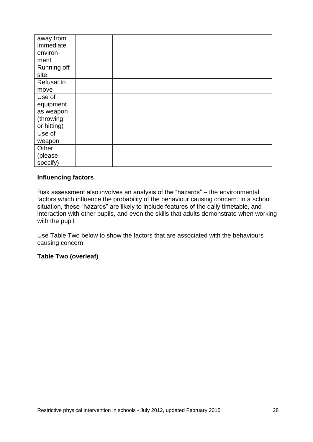| away from   |  |  |
|-------------|--|--|
| immediate   |  |  |
| environ-    |  |  |
| ment        |  |  |
| Running off |  |  |
| site        |  |  |
| Refusal to  |  |  |
| move        |  |  |
| Use of      |  |  |
| equipment   |  |  |
| as weapon   |  |  |
| (throwing   |  |  |
| or hitting) |  |  |
| Use of      |  |  |
| weapon      |  |  |
| Other       |  |  |
| (please     |  |  |
| specify)    |  |  |

#### **Influencing factors**

Risk assessment also involves an analysis of the "hazards" – the environmental factors which influence the probability of the behaviour causing concern. In a school situation, these "hazards" are likely to include features of the daily timetable, and interaction with other pupils, and even the skills that adults demonstrate when working with the pupil.

Use Table Two below to show the factors that are associated with the behaviours causing concern.

**Table Two (overleaf)**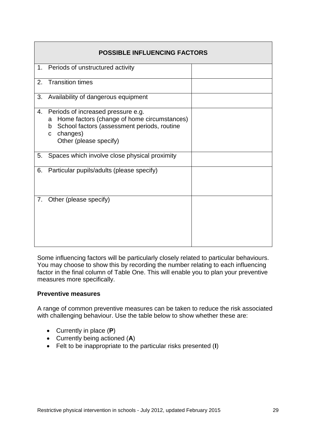|    | <b>POSSIBLE INFLUENCING FACTORS</b>                                                                                                                                                              |  |  |  |  |  |
|----|--------------------------------------------------------------------------------------------------------------------------------------------------------------------------------------------------|--|--|--|--|--|
| 1. | Periods of unstructured activity                                                                                                                                                                 |  |  |  |  |  |
| 2. | <b>Transition times</b>                                                                                                                                                                          |  |  |  |  |  |
| 3. | Availability of dangerous equipment                                                                                                                                                              |  |  |  |  |  |
| 4. | Periods of increased pressure e.g.<br>Home factors (change of home circumstances)<br>a<br>School factors (assessment periods, routine<br>b<br>changes)<br>$\mathbf{C}$<br>Other (please specify) |  |  |  |  |  |
| 5. | Spaces which involve close physical proximity                                                                                                                                                    |  |  |  |  |  |
| 6. | Particular pupils/adults (please specify)                                                                                                                                                        |  |  |  |  |  |
| 7. | Other (please specify)                                                                                                                                                                           |  |  |  |  |  |

Some influencing factors will be particularly closely related to particular behaviours. You may choose to show this by recording the number relating to each influencing factor in the final column of Table One. This will enable you to plan your preventive measures more specifically.

#### **Preventive measures**

A range of common preventive measures can be taken to reduce the risk associated with challenging behaviour. Use the table below to show whether these are:

- Currently in place (**P**)
- Currently being actioned (**A**)
- Felt to be inappropriate to the particular risks presented (**I**)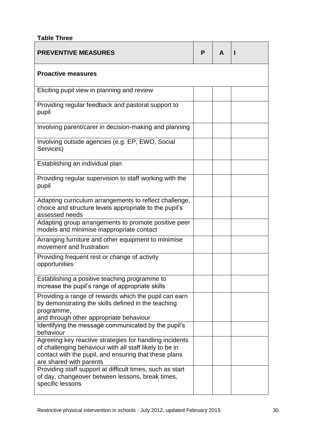### **Table Three**

| <b>PREVENTIVE MEASURES</b>                                                                                                                                                                             | P | A |  |  |  |  |
|--------------------------------------------------------------------------------------------------------------------------------------------------------------------------------------------------------|---|---|--|--|--|--|
| <b>Proactive measures</b>                                                                                                                                                                              |   |   |  |  |  |  |
| Eliciting pupil view in planning and review                                                                                                                                                            |   |   |  |  |  |  |
| Providing regular feedback and pastoral support to<br>pupil                                                                                                                                            |   |   |  |  |  |  |
| Involving parent/carer in decision-making and planning                                                                                                                                                 |   |   |  |  |  |  |
| Involving outside agencies (e.g. EP, EWO, Social<br>Services)                                                                                                                                          |   |   |  |  |  |  |
| Establishing an individual plan                                                                                                                                                                        |   |   |  |  |  |  |
| Providing regular supervision to staff working with the<br>pupil                                                                                                                                       |   |   |  |  |  |  |
| Adapting curriculum arrangements to reflect challenge,<br>choice and structure levels appropriate to the pupil's<br>assessed needs                                                                     |   |   |  |  |  |  |
| Adapting group arrangements to promote positive peer<br>models and minimise inappropriate contact                                                                                                      |   |   |  |  |  |  |
| Arranging furniture and other equipment to minimise<br>movement and frustration                                                                                                                        |   |   |  |  |  |  |
| Providing frequent rest or change of activity<br>opportunities                                                                                                                                         |   |   |  |  |  |  |
| Establishing a positive teaching programme to<br>increase the pupil's range of appropriate skills                                                                                                      |   |   |  |  |  |  |
| Providing a range of rewards which the pupil can earn<br>by demonstrating the skills defined in the teaching<br>programme,                                                                             |   |   |  |  |  |  |
| and through other appropriate behaviour<br>Identifying the message communicated by the pupil's<br>behaviour                                                                                            |   |   |  |  |  |  |
| Agreeing key reactive strategies for handling incidents<br>of challenging behaviour with all staff likely to be in<br>contact with the pupil, and ensuring that these plans<br>are shared with parents |   |   |  |  |  |  |
| Providing staff support at difficult times, such as start<br>of day, changeover between lessons, break times,<br>specific lessons                                                                      |   |   |  |  |  |  |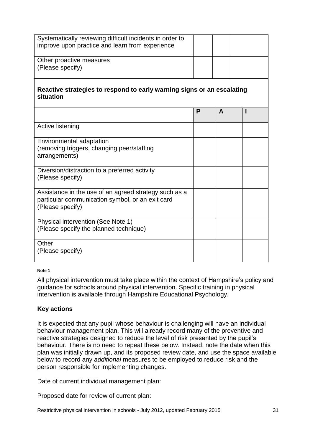| Systematically reviewing difficult incidents in order to<br>improve upon practice and learn from experience                   |   |   |  |  |  |  |
|-------------------------------------------------------------------------------------------------------------------------------|---|---|--|--|--|--|
| Other proactive measures                                                                                                      |   |   |  |  |  |  |
|                                                                                                                               |   |   |  |  |  |  |
| (Please specify)                                                                                                              |   |   |  |  |  |  |
| Reactive strategies to respond to early warning signs or an escalating<br>situation                                           |   |   |  |  |  |  |
|                                                                                                                               | P | A |  |  |  |  |
| Active listening                                                                                                              |   |   |  |  |  |  |
| Environmental adaptation                                                                                                      |   |   |  |  |  |  |
| (removing triggers, changing peer/staffing<br>arrangements)                                                                   |   |   |  |  |  |  |
| Diversion/distraction to a preferred activity<br>(Please specify)                                                             |   |   |  |  |  |  |
| Assistance in the use of an agreed strategy such as a<br>particular communication symbol, or an exit card<br>(Please specify) |   |   |  |  |  |  |
| Physical intervention (See Note 1)<br>(Please specify the planned technique)                                                  |   |   |  |  |  |  |
| Other<br>(Please specify)                                                                                                     |   |   |  |  |  |  |

#### **Note 1**

All physical intervention must take place within the context of Hampshire's policy and guidance for schools around physical intervention. Specific training in physical intervention is available through Hampshire Educational Psychology.

#### **Key actions**

It is expected that any pupil whose behaviour is challenging will have an individual behaviour management plan. This will already record many of the preventive and reactive strategies designed to reduce the level of risk presented by the pupil's behaviour. There is no need to repeat these below. Instead, note the date when this plan was initially drawn up, and its proposed review date, and use the space available below to record any *additional* measures to be employed to reduce risk and the person responsible for implementing changes.

Date of current individual management plan:

Proposed date for review of current plan:

Restrictive physical intervention in schools - July 2012, updated February 2015 31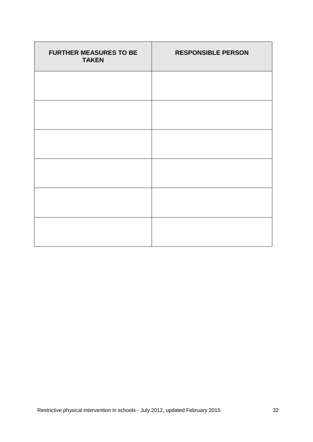| <b>FURTHER MEASURES TO BE</b><br><b>TAKEN</b> | <b>RESPONSIBLE PERSON</b> |
|-----------------------------------------------|---------------------------|
|                                               |                           |
|                                               |                           |
|                                               |                           |
|                                               |                           |
|                                               |                           |
|                                               |                           |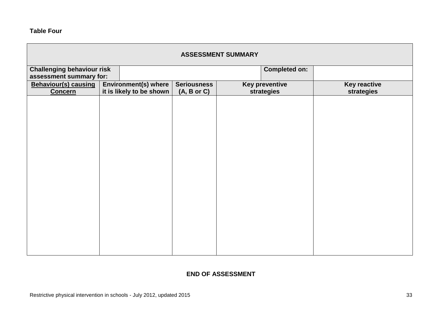**Table Four**

| <b>ASSESSMENT SUMMARY</b>   |                                                           |                          |                    |  |                       |                     |  |
|-----------------------------|-----------------------------------------------------------|--------------------------|--------------------|--|-----------------------|---------------------|--|
|                             | <b>Challenging behaviour risk</b><br><b>Completed on:</b> |                          |                    |  |                       |                     |  |
|                             | assessment summary for:                                   |                          |                    |  |                       |                     |  |
| <b>Behaviour(s) causing</b> |                                                           | Environment(s) where     | <b>Seriousness</b> |  | <b>Key preventive</b> | <b>Key reactive</b> |  |
| <b>Concern</b>              |                                                           | it is likely to be shown | (A, B or C)        |  | strategies            | strategies          |  |
|                             |                                                           |                          |                    |  |                       |                     |  |
|                             |                                                           |                          |                    |  |                       |                     |  |
|                             |                                                           |                          |                    |  |                       |                     |  |
|                             |                                                           |                          |                    |  |                       |                     |  |
|                             |                                                           |                          |                    |  |                       |                     |  |
|                             |                                                           |                          |                    |  |                       |                     |  |
|                             |                                                           |                          |                    |  |                       |                     |  |
|                             |                                                           |                          |                    |  |                       |                     |  |
|                             |                                                           |                          |                    |  |                       |                     |  |
|                             |                                                           |                          |                    |  |                       |                     |  |
|                             |                                                           |                          |                    |  |                       |                     |  |
|                             |                                                           |                          |                    |  |                       |                     |  |
|                             |                                                           |                          |                    |  |                       |                     |  |
|                             |                                                           |                          |                    |  |                       |                     |  |
|                             |                                                           |                          |                    |  |                       |                     |  |
|                             |                                                           |                          |                    |  |                       |                     |  |
|                             |                                                           |                          |                    |  |                       |                     |  |
|                             |                                                           |                          |                    |  |                       |                     |  |
|                             |                                                           |                          |                    |  |                       |                     |  |
|                             |                                                           |                          |                    |  |                       |                     |  |

### **END OF ASSESSMENT**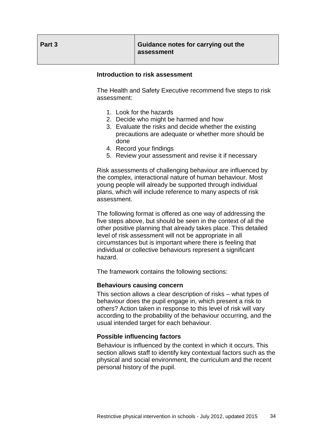| Part 3 | Guidance notes for carrying out the<br>assessment |
|--------|---------------------------------------------------|
|--------|---------------------------------------------------|

#### **Introduction to risk assessment**

The Health and Safety Executive recommend five steps to risk assessment:

- 1. Look for the hazards
- 2. Decide who might be harmed and how
- 3. Evaluate the risks and decide whether the existing precautions are adequate or whether more should be done
- 4. Record your findings
- 5. Review your assessment and revise it if necessary

Risk assessments of challenging behaviour are influenced by the complex, interactional nature of human behaviour. Most young people will already be supported through individual plans, which will include reference to many aspects of risk assessment.

The following format is offered as one way of addressing the five steps above, but should be seen in the context of all the other positive planning that already takes place. This detailed level of risk assessment will not be appropriate in all circumstances but is important where there is feeling that individual or collective behaviours represent a significant hazard.

The framework contains the following sections:

#### **Behaviours causing concern**

This section allows a clear description of risks – what types of behaviour does the pupil engage in, which present a risk to others? Action taken in response to this level of risk will vary according to the probability of the behaviour occurring, and the usual intended target for each behaviour.

#### **Possible influencing factors**

Behaviour is influenced by the context in which it occurs. This section allows staff to identify key contextual factors such as the physical and social environment, the curriculum and the recent personal history of the pupil.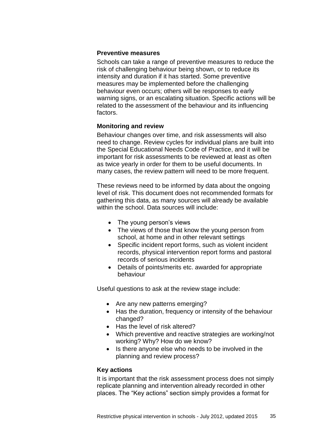#### **Preventive measures**

Schools can take a range of preventive measures to reduce the risk of challenging behaviour being shown, or to reduce its intensity and duration if it has started. Some preventive measures may be implemented before the challenging behaviour even occurs; others will be responses to early warning signs, or an escalating situation. Specific actions will be related to the assessment of the behaviour and its influencing factors.

#### **Monitoring and review**

Behaviour changes over time, and risk assessments will also need to change. Review cycles for individual plans are built into the Special Educational Needs Code of Practice, and it will be important for risk assessments to be reviewed at least as often as twice yearly in order for them to be useful documents. In many cases, the review pattern will need to be more frequent.

These reviews need to be informed by data about the ongoing level of risk. This document does not recommended formats for gathering this data, as many sources will already be available within the school. Data sources will include:

- The young person's views
- The views of those that know the young person from school, at home and in other relevant settings
- Specific incident report forms, such as violent incident records, physical intervention report forms and pastoral records of serious incidents
- Details of points/merits etc. awarded for appropriate behaviour

Useful questions to ask at the review stage include:

- Are any new patterns emerging?
- Has the duration, frequency or intensity of the behaviour changed?
- Has the level of risk altered?
- Which preventive and reactive strategies are working/not working? Why? How do we know?
- Is there anyone else who needs to be involved in the planning and review process?

#### **Key actions**

It is important that the risk assessment process does not simply replicate planning and intervention already recorded in other places. The "Key actions" section simply provides a format for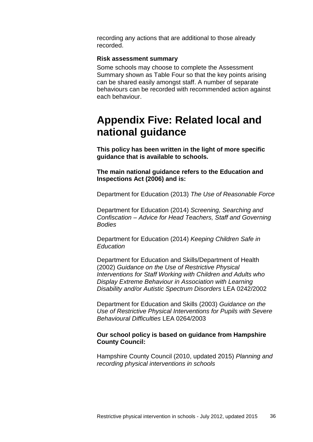recording any actions that are additional to those already recorded.

#### **Risk assessment summary**

Some schools may choose to complete the Assessment Summary shown as Table Four so that the key points arising can be shared easily amongst staff. A number of separate behaviours can be recorded with recommended action against each behaviour.

# **Appendix Five: Related local and national guidance**

**This policy has been written in the light of more specific guidance that is available to schools.** 

**The main national guidance refers to the Education and Inspections Act (2006) and is:**

Department for Education (2013) *The Use of Reasonable Force* 

Department for Education (2014) *Screening, Searching and Confiscation – Advice for Head Teachers, Staff and Governing Bodies*

Department for Education (2014) *Keeping Children Safe in Education*

Department for Education and Skills/Department of Health (2002) *Guidance on the Use of Restrictive Physical Interventions for Staff Working with Children and Adults who Display Extreme Behaviour in Association with Learning Disability and/or Autistic Spectrum Disorders* LEA 0242/2002

Department for Education and Skills (2003) *Guidance on the Use of Restrictive Physical Interventions for Pupils with Severe Behavioural Difficulties* LEA 0264/2003

#### **Our school policy is based on guidance from Hampshire County Council:**

Hampshire County Council (2010, updated 2015) *Planning and recording physical interventions in schools*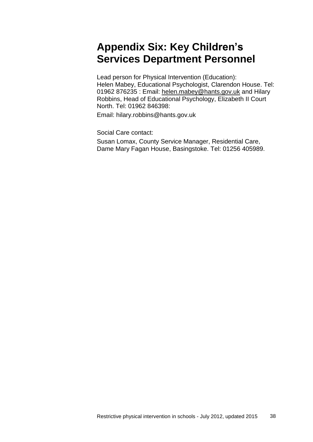# **Appendix Six: Key Children's Services Department Personnel**

Lead person for Physical Intervention (Education): Helen Mabey, Educational Psychologist, Clarendon House. Tel: 01962 876235 : Email: [helen.mabey@hants.gov.uk](mailto:helen.mabey@hants.gov.uk) and Hilary Robbins, Head of Educational Psychology, Elizabeth II Court North. Tel: 01962 846398:

Email: hilary.robbins@hants.gov.uk

Social Care contact: Susan Lomax, County Service Manager, Residential Care, Dame Mary Fagan House, Basingstoke. Tel: 01256 405989.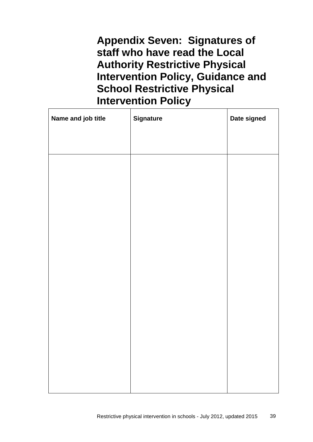**Appendix Seven: Signatures of staff who have read the Local Authority Restrictive Physical Intervention Policy, Guidance and School Restrictive Physical Intervention Policy**

| Name and job title | <b>Signature</b> | Date signed |
|--------------------|------------------|-------------|
|                    |                  |             |
|                    |                  |             |
|                    |                  |             |
|                    |                  |             |
|                    |                  |             |
|                    |                  |             |
|                    |                  |             |
|                    |                  |             |
|                    |                  |             |
|                    |                  |             |
|                    |                  |             |
|                    |                  |             |
|                    |                  |             |